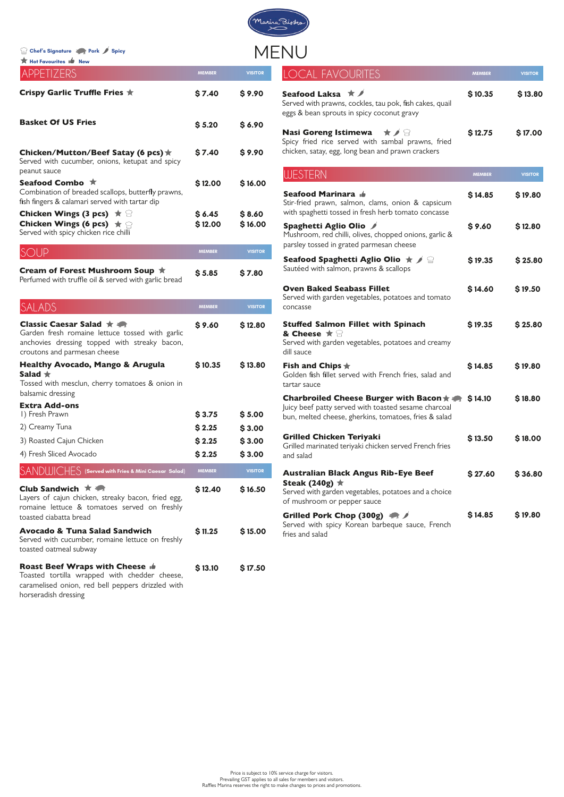Toasted tortilla wrapped with chedder cheese, caramelised onion, red bell peppers drizzled with horseradish dressing

Tossed with mesclun, cherry tomatoes & onion in balsamic dressing Salad  $\bigstar$ 

| <b>Extra Add-ons</b>                                          |               |                |
|---------------------------------------------------------------|---------------|----------------|
| I) Fresh Prawn                                                | \$3.75        | \$5.00         |
| 2) Creamy Tuna                                                | \$2.25        | \$3.00         |
| 3) Roasted Cajun Chicken                                      | \$2.25        | \$3.00         |
| 4) Fresh Sliced Avocado                                       | \$2.25        | \$3.00         |
| $\mathsf{SANDUUCHFS}$ (Served with Fries & Mini Caesar Salad) | <b>MEMBER</b> | <b>VISITOR</b> |

| APPETIZERS                                                                                                                                                                         | <b>MEMBER</b>     | <b>VISITOR</b>    |
|------------------------------------------------------------------------------------------------------------------------------------------------------------------------------------|-------------------|-------------------|
| <b>Crispy Garlic Truffle Fries ★</b>                                                                                                                                               | \$7.40            | \$9.90            |
| <b>Basket Of US Fries</b>                                                                                                                                                          | \$5.20            | \$6.90            |
| Chicken/Mutton/Beef Satay (6 pcs) ★<br>Served with cucumber, onions, ketupat and spicy<br>peanut sauce                                                                             | \$7.40            | \$9.90            |
| Seafood Combo ★<br>Combination of breaded scallops, butterfly prawns,<br>fish fingers & calamari served with tartar dip                                                            | \$12.00           | \$16.00           |
| <b>Chicken Wings (3 pcs)</b> $\star \cong$<br>Chicken Wings (6 pcs) $\star$<br>Served with spicy chicken rice chilli                                                               | \$6.45<br>\$12.00 | \$8.60<br>\$16.00 |
| SOUP                                                                                                                                                                               | <b>MEMBER</b>     | <b>VISITOR</b>    |
| Cream of Forest Mushroom Soup ★<br>Perfumed with truffle oil & served with garlic bread                                                                                            | \$5.85            | \$7.80            |
| SALADS                                                                                                                                                                             | <b>MEMBER</b>     | <b>VISITOR</b>    |
| <b>Classic Caesar Salad <math>\star</math></b><br>Garden fresh romaine lettuce tossed with garlic<br>anchovies dressing topped with streaky bacon,<br>croutons and parmesan cheese | \$9.60            | \$12.80           |
| <b>Healthy Avocado, Mango &amp; Arugula</b>                                                                                                                                        | <b>\$10.35</b>    | \$13.80           |

Price is subject to 10% service charge for visitors. Prevailing GST applies to all sales for members and visitors. Raffles Marina reserves the right to make changes to prices and promotions.

| <b>LOCAL FAVOURITES</b>                                                                                                                                                         | <b>MEMBER</b> | <b>VISITOR</b> |
|---------------------------------------------------------------------------------------------------------------------------------------------------------------------------------|---------------|----------------|
| Seafood Laksa <b>K</b><br>Served with prawns, cockles, tau pok, fish cakes, quail<br>eggs & bean sprouts in spicy coconut gravy                                                 | \$10.35       | \$13.80        |
| Nasi Goreng Istimewa $\quad \star \nearrow \cong$<br>Spicy fried rice served with sambal prawns, fried<br>chicken, satay, egg, long bean and prawn crackers                     | \$12.75       | \$17.00        |
| <b>WESTERN</b>                                                                                                                                                                  | <b>MEMBER</b> | <b>VISITOR</b> |
| Seafood Marinara é<br>Stir-fried prawn, salmon, clams, onion & capsicum<br>with spaghetti tossed in fresh herb tomato concasse                                                  | \$14.85       | \$19.80        |
| Spaghetti Aglio Olio /<br>Mushroom, red chilli, olives, chopped onions, garlic &<br>parsley tossed in grated parmesan cheese                                                    | \$9.60        | \$12.80        |
| Seafood Spaghetti Aglio Olio $\star$ / $\circledcirc$<br>Sautéed with salmon, prawns & scallops                                                                                 | \$19.35       | \$25.80        |
| <b>Oven Baked Seabass Fillet</b><br>Served with garden vegetables, potatoes and tomato<br>concasse                                                                              | \$14.60       | \$19.50        |
| <b>Stuffed Salmon Fillet with Spinach</b><br>& Cheese $\star$<br>Served with garden vegetables, potatoes and creamy<br>dill sauce                                               | \$19.35       | \$25.80        |
| Fish and Chips $\bigstar$<br>Golden fish fillet served with French fries, salad and<br>tartar sauce                                                                             | \$14.85       | \$19.80        |
| Charbroiled Cheese Burger with Bacon $\star$ $\bullet$ \$14.10<br>Juicy beef patty served with toasted sesame charcoal<br>bun, melted cheese, gherkins, tomatoes, fries & salad |               | \$18.80        |
| <b>Grilled Chicken Teriyaki</b><br>Grilled marinated teriyaki chicken served French fries<br>and salad                                                                          | \$13.50       | \$18.00        |
| <b>Australian Black Angus Rib-Eye Beef</b><br>Steak (240g) $\star$<br>Served with garden vegetables, potatoes and a choice<br>of mushroom or pepper sauce                       | \$27.60       | \$36.80        |
| Grilled Pork Chop (300g)<br>Served with spicy Korean barbeque sauce, French<br>fries and salad                                                                                  | \$14.85       | \$19.80        |

| Club Sandwich $\star$<br>Layers of cajun chicken, streaky bacon, fried egg,<br>romaine lettuce & tomatoes served on freshly<br>toasted ciabatta bread | \$12.40 | \$16.50 |
|-------------------------------------------------------------------------------------------------------------------------------------------------------|---------|---------|
| Avocado & Tuna Salad Sandwich<br>Served with cucumber, romaine lettuce on freshly<br>toasted oatmeal subway                                           | \$11.25 | \$15.00 |
| <b>Roast Beef Wraps with Cheese in</b><br>Toasted tortilla wrapped with chedder cheese                                                                | \$13.10 | \$17.50 |

**Chef's Signature Pork Spicy**

**Hot Favourites New**